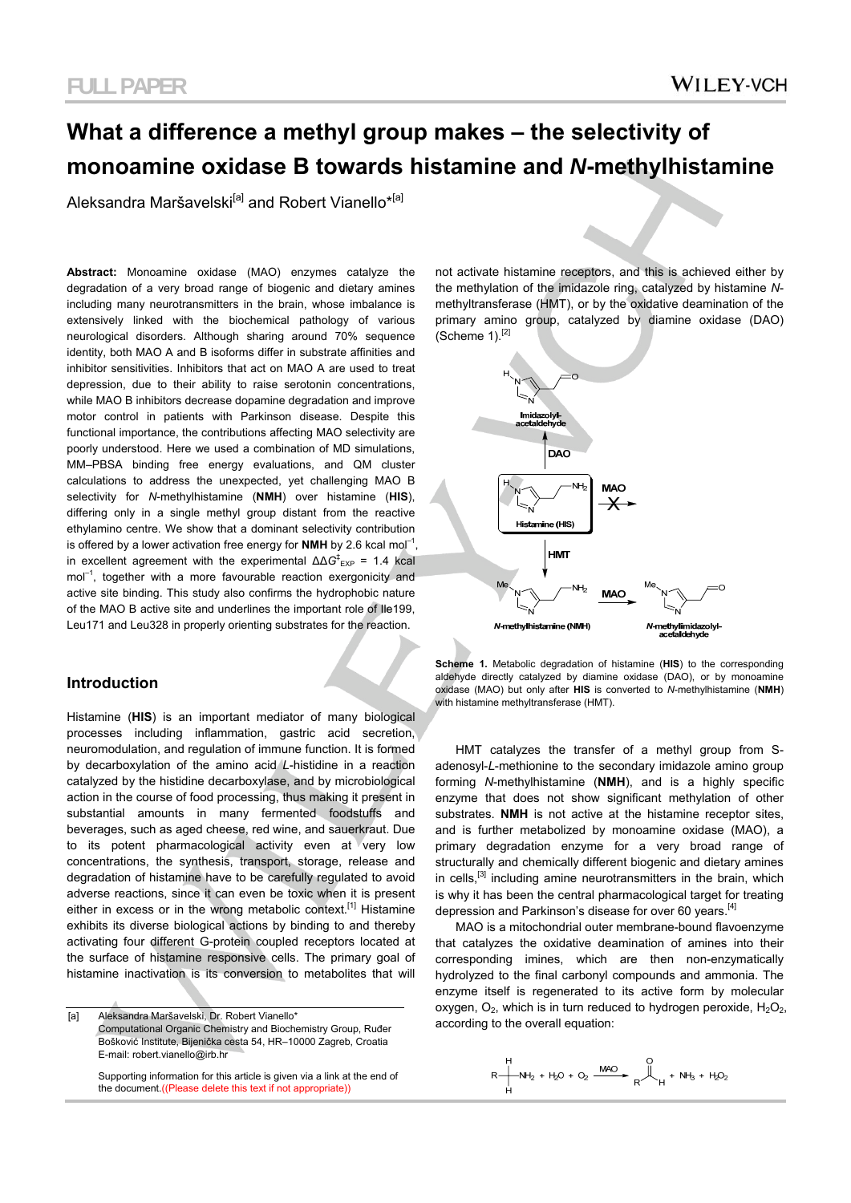# **What a difference a methyl group makes – the selectivity of monoamine oxidase B towards histamine and** *N***-methylhistamine**

Aleksandra Maršavelski<sup>[a]</sup> and Robert Vianello<sup>\*[a]</sup>

**Abstract:** Monoamine oxidase (MAO) enzymes catalyze the degradation of a very broad range of biogenic and dietary amines including many neurotransmitters in the brain, whose imbalance is extensively linked with the biochemical pathology of various neurological disorders. Although sharing around 70% sequence identity, both MAO A and B isoforms differ in substrate affinities and inhibitor sensitivities. Inhibitors that act on MAO A are used to treat depression, due to their ability to raise serotonin concentrations, while MAO B inhibitors decrease dopamine degradation and improve motor control in patients with Parkinson disease. Despite this functional importance, the contributions affecting MAO selectivity are poorly understood. Here we used a combination of MD simulations, MM–PBSA binding free energy evaluations, and QM cluster calculations to address the unexpected, yet challenging MAO B selectivity for *N*-methylhistamine (**NMH**) over histamine (**HIS**), differing only in a single methyl group distant from the reactive ethylamino centre. We show that a dominant selectivity contribution is offered by a lower activation free energy for **NMH** by 2.6 kcal mol<sup>-1</sup> in excellent agreement with the experimental  $ΔΔG$ <sup>‡</sup><sub>EXP</sub> = 1.4 kcal mol<sup>-1</sup>, together with a more favourable reaction exergonicity and active site binding. This study also confirms the hydrophobic nature of the MAO B active site and underlines the important role of Ile199, Leu171 and Leu328 in properly orienting substrates for the reaction.

### **Introduction**

Histamine (**HIS**) is an important mediator of many biological processes including inflammation, gastric acid secretion, neuromodulation, and regulation of immune function. It is formed by decarboxylation of the amino acid *L*-histidine in a reaction catalyzed by the histidine decarboxylase, and by microbiological action in the course of food processing, thus making it present in substantial amounts in many fermented foodstuffs and beverages, such as aged cheese, red wine, and sauerkraut. Due to its potent pharmacological activity even at very low concentrations, the synthesis, transport, storage, release and degradation of histamine have to be carefully regulated to avoid adverse reactions, since it can even be toxic when it is present either in excess or in the wrong metabolic context.<sup>[1]</sup> Histamine exhibits its diverse biological actions by binding to and thereby activating four different G-protein coupled receptors located at the surface of histamine responsive cells. The primary goal of histamine inactivation is its conversion to metabolites that will

according to the overall equation:<br>Computational Organic Chemistry and Biochemistry Group Buder according to the overall equation: Computational Organic Chemistry and Biochemistry Group, Ruđer Bošković Institute, Bijenička cesta 54, HR–10000 Zagreb, Croatia E-mail: robert.vianello@irb.hr

 Supporting information for this article is given via a link at the end of the document.((Please delete this text if not appropriate))

not activate histamine receptors, and this is achieved either by the methylation of the imidazole ring, catalyzed by histamine *N*methyltransferase (HMT), or by the oxidative deamination of the primary amino group, catalyzed by diamine oxidase (DAO) (Scheme 1).[2]



**Scheme 1.** Metabolic degradation of histamine (**HIS**) to the corresponding aldehyde directly catalyzed by diamine oxidase (DAO), or by monoamine oxidase (MAO) but only after **HIS** is converted to *N*-methylhistamine (**NMH**) with histamine methyltransferase (HMT).

HMT catalyzes the transfer of a methyl group from Sadenosyl-*L*-methionine to the secondary imidazole amino group forming *N*-methylhistamine (**NMH**), and is a highly specific enzyme that does not show significant methylation of other substrates. **NMH** is not active at the histamine receptor sites, and is further metabolized by monoamine oxidase (MAO), a primary degradation enzyme for a very broad range of structurally and chemically different biogenic and dietary amines in cells,<sup>[3]</sup> including amine neurotransmitters in the brain, which is why it has been the central pharmacological target for treating depression and Parkinson's disease for over 60 years.<sup>[4]</sup>

MAO is a mitochondrial outer membrane-bound flavoenzyme that catalyzes the oxidative deamination of amines into their corresponding imines, which are then non-enzymatically hydrolyzed to the final carbonyl compounds and ammonia. The enzyme itself is regenerated to its active form by molecular oxygen,  $O_2$ , which is in turn reduced to hydrogen peroxide,  $H_2O_2$ ,

$$
R \xrightarrow[ H \text{ } NH_2 + H_2O + O_2 \xrightarrow[ H \text{ } CH] \text{ } CH \text{ } NH_3 + H_2O_2
$$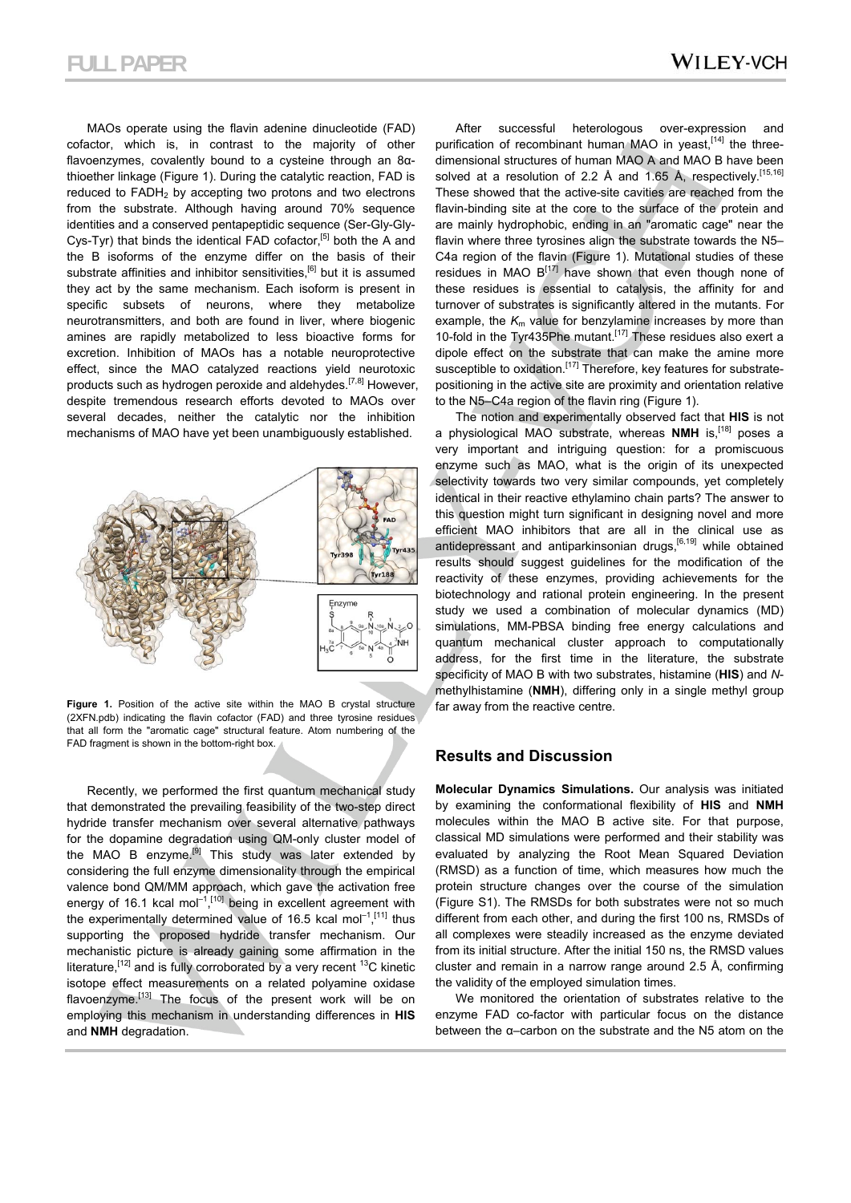MAOs operate using the flavin adenine dinucleotide (FAD) cofactor, which is, in contrast to the majority of other flavoenzymes, covalently bound to a cysteine through an 8αthioether linkage (Figure 1). During the catalytic reaction, FAD is reduced to  $FADH<sub>2</sub>$  by accepting two protons and two electrons from the substrate. Although having around 70% sequence identities and a conserved pentapeptidic sequence (Ser-Gly-Gly-Cys-Tyr) that binds the identical FAD cofactor,<sup>[5]</sup> both the A and the B isoforms of the enzyme differ on the basis of their substrate affinities and inhibitor sensitivities,<sup>[6]</sup> but it is assumed they act by the same mechanism. Each isoform is present in specific subsets of neurons, where they metabolize neurotransmitters, and both are found in liver, where biogenic amines are rapidly metabolized to less bioactive forms for excretion. Inhibition of MAOs has a notable neuroprotective effect, since the MAO catalyzed reactions yield neurotoxic products such as hydrogen peroxide and aldehydes.<sup>[7,8]</sup> However, despite tremendous research efforts devoted to MAOs over several decades, neither the catalytic nor the inhibition mechanisms of MAO have yet been unambiguously established.



Figure 1. Position of the active site within the MAO B crystal structure (2XFN.pdb) indicating the flavin cofactor (FAD) and three tyrosine residues that all form the "aromatic cage" structural feature. Atom numbering of the FAD fragment is shown in the bottom-right box.

Recently, we performed the first quantum mechanical study that demonstrated the prevailing feasibility of the two-step direct hydride transfer mechanism over several alternative pathways for the dopamine degradation using QM-only cluster model of the MAO B enzyme.<sup>[9]</sup> This study was later extended by considering the full enzyme dimensionality through the empirical valence bond QM/MM approach, which gave the activation free energy of 16.1 kcal mol<sup>-1</sup>,<sup>[10]</sup> being in excellent agreement with the experimentally determined value of 16.5 kcal mol<sup>-1</sup>,<sup>[11]</sup> thus supporting the proposed hydride transfer mechanism. Our mechanistic picture is already gaining some affirmation in the literature,  $[12]$  and is fully corroborated by a very recent  $13C$  kinetic isotope effect measurements on a related polyamine oxidase flavoenzyme.<sup>[13]</sup> The focus of the present work will be on employing this mechanism in understanding differences in **HIS** and **NMH** degradation.

After successful heterologous over-expression and purification of recombinant human MAO in yeast,  $[14]$  the threedimensional structures of human MAO A and MAO B have been solved at a resolution of 2.2 Å and 1.65 Å, respectively.<sup>[15,16]</sup> These showed that the active-site cavities are reached from the flavin-binding site at the core to the surface of the protein and are mainly hydrophobic, ending in an "aromatic cage" near the flavin where three tyrosines align the substrate towards the N5– C4a region of the flavin (Figure 1). Mutational studies of these residues in MAO  $B^{[17]}$  have shown that even though none of these residues is essential to catalysis, the affinity for and turnover of substrates is significantly altered in the mutants. For example, the  $K<sub>m</sub>$  value for benzylamine increases by more than 10-fold in the Tyr435Phe mutant.<sup>[17]</sup> These residues also exert a dipole effect on the substrate that can make the amine more susceptible to oxidation.<sup>[17]</sup> Therefore, key features for substratepositioning in the active site are proximity and orientation relative to the N5–C4a region of the flavin ring (Figure 1).

The notion and experimentally observed fact that **HIS** is not a physiological MAO substrate, whereas **NMH** is,[18] poses a very important and intriguing question: for a promiscuous enzyme such as MAO, what is the origin of its unexpected selectivity towards two very similar compounds, yet completely identical in their reactive ethylamino chain parts? The answer to this question might turn significant in designing novel and more efficient MAO inhibitors that are all in the clinical use as antidepressant and antiparkinsonian drugs, $[6,19]$  while obtained results should suggest guidelines for the modification of the reactivity of these enzymes, providing achievements for the biotechnology and rational protein engineering. In the present study we used a combination of molecular dynamics (MD) simulations, MM-PBSA binding free energy calculations and quantum mechanical cluster approach to computationally address, for the first time in the literature, the substrate specificity of MAO B with two substrates, histamine (**HIS**) and *N*methylhistamine (**NMH**), differing only in a single methyl group far away from the reactive centre.

#### **Results and Discussion**

**Molecular Dynamics Simulations.** Our analysis was initiated by examining the conformational flexibility of **HIS** and **NMH** molecules within the MAO B active site. For that purpose, classical MD simulations were performed and their stability was evaluated by analyzing the Root Mean Squared Deviation (RMSD) as a function of time, which measures how much the protein structure changes over the course of the simulation (Figure S1). The RMSDs for both substrates were not so much different from each other, and during the first 100 ns, RMSDs of all complexes were steadily increased as the enzyme deviated from its initial structure. After the initial 150 ns, the RMSD values cluster and remain in a narrow range around 2.5 Å, confirming the validity of the employed simulation times.

We monitored the orientation of substrates relative to the enzyme FAD co-factor with particular focus on the distance between the α–carbon on the substrate and the N5 atom on the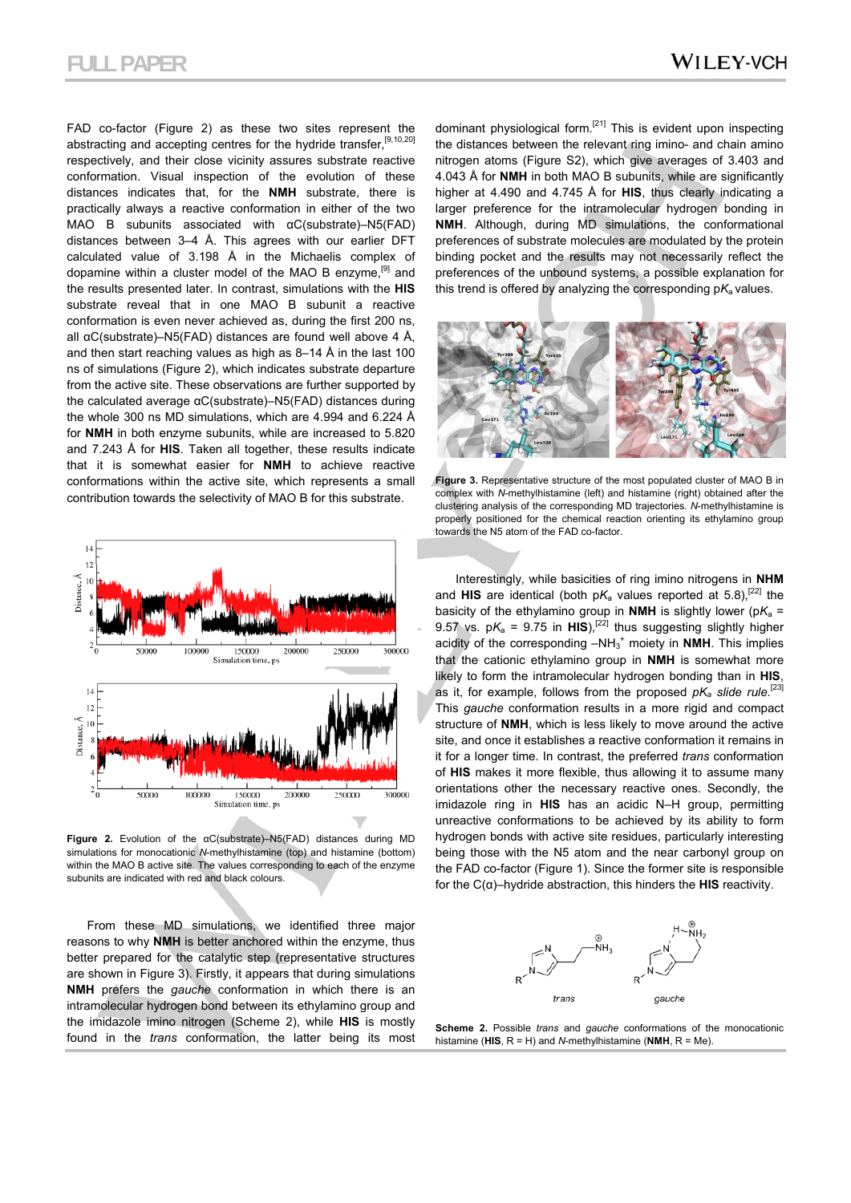FAD co-factor (Figure 2) as these two sites represent the abstracting and accepting centres for the hydride transfer.<sup>[9,10,20]</sup> respectively, and their close vicinity assures substrate reactive conformation. Visual inspection of the evolution of these distances indicates that, for the **NMH** substrate, there is practically always a reactive conformation in either of the two MAO B subunits associated with αC(substrate)–N5(FAD) distances between 3–4 Å. This agrees with our earlier DFT calculated value of 3.198 Å in the Michaelis complex of dopamine within a cluster model of the MAO B enzyme,<sup>[9]</sup> and the results presented later. In contrast, simulations with the **HIS** substrate reveal that in one MAO B subunit a reactive conformation is even never achieved as, during the first 200 ns, all αC(substrate)–N5(FAD) distances are found well above 4 Å, and then start reaching values as high as 8–14 Å in the last 100 ns of simulations (Figure 2), which indicates substrate departure from the active site. These observations are further supported by the calculated average αC(substrate)–N5(FAD) distances during the whole 300 ns MD simulations, which are 4.994 and 6.224 Å for **NMH** in both enzyme subunits, while are increased to 5.820 and 7.243 Å for **HIS**. Taken all together, these results indicate that it is somewhat easier for **NMH** to achieve reactive conformations within the active site, which represents a small contribution towards the selectivity of MAO B for this substrate.



**Figure 2.** Evolution of the αC(substrate)–N5(FAD) distances during MD simulations for monocationic *N*-methylhistamine (top) and histamine (bottom) within the MAO B active site. The values corresponding to each of the enzyme subunits are indicated with red and black colours.

From these MD simulations, we identified three major reasons to why **NMH** is better anchored within the enzyme, thus better prepared for the catalytic step (representative structures are shown in Figure 3). Firstly, it appears that during simulations **NMH** prefers the *gauche* conformation in which there is an intramolecular hydrogen bond between its ethylamino group and the imidazole imino nitrogen (Scheme 2), while **HIS** is mostly found in the *trans* conformation, the latter being its most dominant physiological form.<sup>[21]</sup> This is evident upon inspecting the distances between the relevant ring imino- and chain amino nitrogen atoms (Figure S2), which give averages of 3.403 and 4.043 Å for **NMH** in both MAO B subunits, while are significantly higher at 4.490 and 4.745 Å for **HIS**, thus clearly indicating a larger preference for the intramolecular hydrogen bonding in **NMH**. Although, during MD simulations, the conformational preferences of substrate molecules are modulated by the protein binding pocket and the results may not necessarily reflect the preferences of the unbound systems, a possible explanation for this trend is offered by analyzing the corresponding p*K*a values.



**Figure 3.** Representative structure of the most populated cluster of MAO B in complex with *N*-methylhistamine (left) and histamine (right) obtained after the clustering analysis of the corresponding MD trajectories. *N*-methylhistamine is properly positioned for the chemical reaction orienting its ethylamino group towards the N5 atom of the FAD co-factor.

Interestingly, while basicities of ring imino nitrogens in **NHM** and **HIS** are identical (both  $pK_a$  values reported at 5.8),<sup>[22]</sup> the basicity of the ethylamino group in **NMH** is slightly lower ( $pK_a$  = 9.57 vs.  $pK_a = 9.75$  in HIS),<sup>[22]</sup> thus suggesting slightly higher acidity of the corresponding -NH<sub>3</sub><sup>+</sup> moiety in NMH. This implies that the cationic ethylamino group in **NMH** is somewhat more likely to form the intramolecular hydrogen bonding than in **HIS**, as it, for example, follows from the proposed  $pK_a$  slide rule.<sup>[23]</sup> This *gauche* conformation results in a more rigid and compact structure of **NMH**, which is less likely to move around the active site, and once it establishes a reactive conformation it remains in it for a longer time. In contrast, the preferred *trans* conformation of **HIS** makes it more flexible, thus allowing it to assume many orientations other the necessary reactive ones. Secondly, the imidazole ring in **HIS** has an acidic N–H group, permitting unreactive conformations to be achieved by its ability to form hydrogen bonds with active site residues, particularly interesting being those with the N5 atom and the near carbonyl group on the FAD co-factor (Figure 1). Since the former site is responsible for the C(α)–hydride abstraction, this hinders the **HIS** reactivity.



**Scheme 2.** Possible *trans* and *gauche* conformations of the monocationic histamine (**HIS**, R = H) and *N*-methylhistamine (**NMH**, R = Me).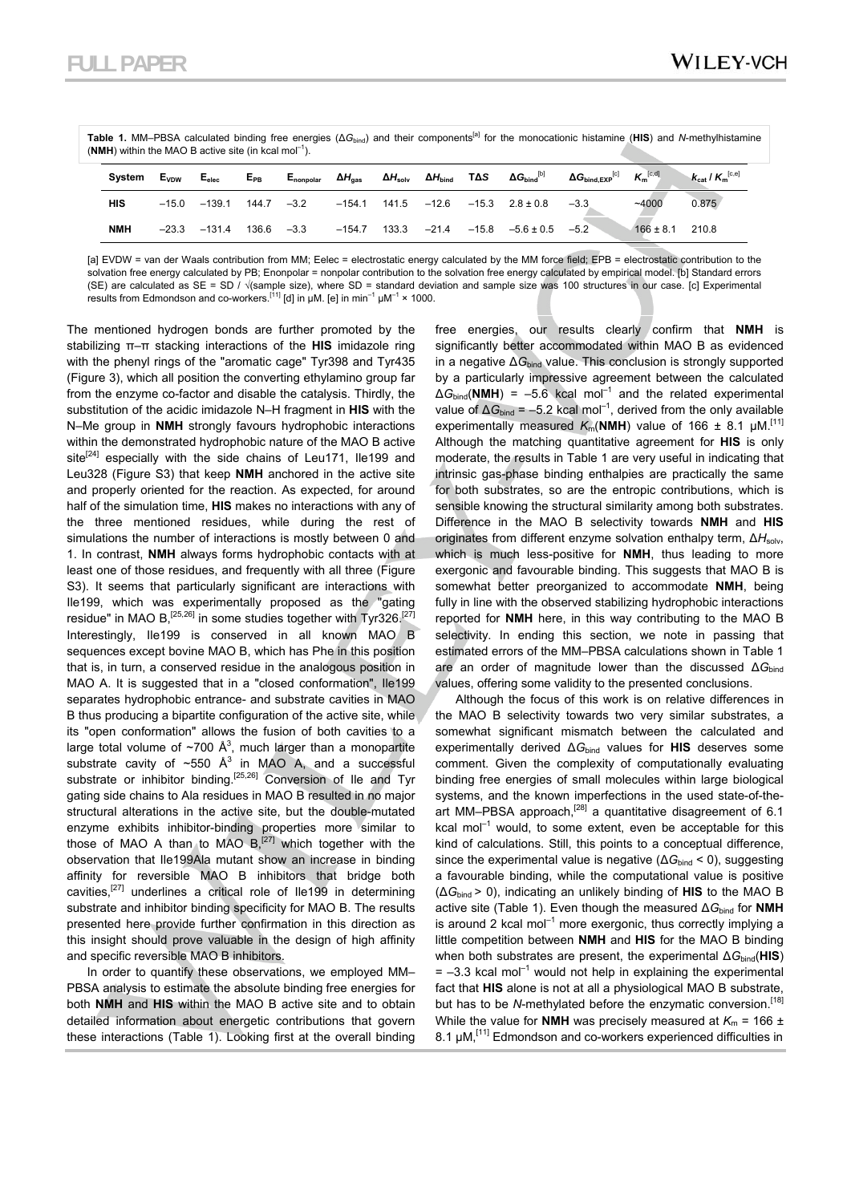| Table 1. MM-PBSA calculated binding free energies ( $\Delta G_{bind}$ ) and their components <sup>[a]</sup> for the monocationic histamine (HIS) and N-methylhistamine |  |  |  |  |  |  |
|------------------------------------------------------------------------------------------------------------------------------------------------------------------------|--|--|--|--|--|--|
| (NMH) within the MAO B active site (in kcal mol <sup>-1</sup> ).                                                                                                       |  |  |  |  |  |  |

| Svstem     | Evpw    | $E_{elec}$                      | $E_{PB}$ |          |                        | $E_{\text{nonpolar}}$ $\Delta H_{\text{gas}}$ $\Delta H_{\text{solv}}$ $\Delta H_{\text{bind}}$ $T \Delta S$ $\Delta G_{\text{bind}}^{[b]}$ | $\Delta G_{\rm bind, EXP}^{[\rm C]}$ | $K_m^{[c,d]}$       | $K_{\text{cat}}$ / $K_{\text{m}}^{[c,e]}$ |
|------------|---------|---------------------------------|----------|----------|------------------------|---------------------------------------------------------------------------------------------------------------------------------------------|--------------------------------------|---------------------|-------------------------------------------|
| HIS        |         | $-15.0$ $-139.1$ $144.7$ $-3.2$ |          | $-154.1$ |                        | $141.5$ $-12.6$ $-15.3$ $2.8 \pm 0.8$                                                                                                       | $-3.3$                               | ~14000              | 0.875                                     |
| <b>NMH</b> | $-23.3$ | $-131.4$ 136.6 $-3.3$           |          |          | $-154.7$ 133.3 $-21.4$ | $-15.8$ $-5.6 \pm 0.5$ $-5.2$                                                                                                               |                                      | $166 \pm 8.1$ 210.8 |                                           |

[a] EVDW = van der Waals contribution from MM; Eelec = electrostatic energy calculated by the MM force field; EPB = electrostatic contribution to the solvation free energy calculated by PB; Enonpolar = nonpolar contribution to the solvation free energy calculated by empirical model. [b] Standard errors (SE) are calculated as SE = SD / √(sample size), where SD = standard deviation and sample size was 100 structures in our case. [c] Experimental results from Edmondson and co-workers.<sup>[11]</sup> [d] in  $\mu$ M. [e] in min<sup>-1</sup>  $\mu$ M<sup>-1</sup> × 1000.

The mentioned hydrogen bonds are further promoted by the stabilizing π–π stacking interactions of the **HIS** imidazole ring with the phenyl rings of the "aromatic cage" Tyr398 and Tyr435 (Figure 3), which all position the converting ethylamino group far from the enzyme co-factor and disable the catalysis. Thirdly, the substitution of the acidic imidazole N–H fragment in **HIS** with the N–Me group in **NMH** strongly favours hydrophobic interactions within the demonstrated hydrophobic nature of the MAO B active site<sup>[24]</sup> especially with the side chains of Leu171, Ile199 and Leu328 (Figure S3) that keep **NMH** anchored in the active site and properly oriented for the reaction. As expected, for around half of the simulation time, **HIS** makes no interactions with any of the three mentioned residues, while during the rest of simulations the number of interactions is mostly between 0 and 1. In contrast, **NMH** always forms hydrophobic contacts with at least one of those residues, and frequently with all three (Figure S3). It seems that particularly significant are interactions with Ile199, which was experimentally proposed as the "gating residue" in MAO B,  $[25,26]$  in some studies together with Tyr326.<sup>[27]</sup> Interestingly, Ile199 is conserved in all known MAO B sequences except bovine MAO B, which has Phe in this position that is, in turn, a conserved residue in the analogous position in MAO A. It is suggested that in a "closed conformation", Ile199 separates hydrophobic entrance- and substrate cavities in MAO B thus producing a bipartite configuration of the active site, while its "open conformation" allows the fusion of both cavities to a large total volume of  $\sim$ 700 Å<sup>3</sup>, much larger than a monopartite substrate cavity of  $\sim$ 550 Å<sup>3</sup> in MAO A, and a successful substrate or inhibitor binding.<sup>[25,26]</sup> Conversion of Ile and Tyr gating side chains to Ala residues in MAO B resulted in no major structural alterations in the active site, but the double-mutated enzyme exhibits inhibitor-binding properties more similar to those of MAO A than to MAO  $B<sub>1</sub><sup>[27]</sup>$  which together with the observation that Ile199Ala mutant show an increase in binding affinity for reversible MAO B inhibitors that bridge both cavities,[27] underlines a critical role of Ile199 in determining substrate and inhibitor binding specificity for MAO B. The results presented here provide further confirmation in this direction as this insight should prove valuable in the design of high affinity and specific reversible MAO B inhibitors.

In order to quantify these observations, we employed MM– PBSA analysis to estimate the absolute binding free energies for both **NMH** and **HIS** within the MAO B active site and to obtain detailed information about energetic contributions that govern these interactions (Table 1). Looking first at the overall binding free energies, our results clearly confirm that **NMH** is significantly better accommodated within MAO B as evidenced in a negative ∆*G*bind value. This conclusion is strongly supported by a particularly impressive agreement between the calculated  $\Delta G_{bind}$ (**NMH**) = –5.6 kcal mol<sup>-1</sup> and the related experimental value of ∆*G*<sub>bind</sub> = –5.2 kcal mol<sup>-1</sup>, derived from the only available experimentally measured  $K_m(\text{NMH})$  value of 166  $\pm$  8.1 µM.<sup>[11]</sup> Although the matching quantitative agreement for **HIS** is only moderate, the results in Table 1 are very useful in indicating that intrinsic gas-phase binding enthalpies are practically the same for both substrates, so are the entropic contributions, which is sensible knowing the structural similarity among both substrates. Difference in the MAO B selectivity towards **NMH** and **HIS** originates from different enzyme solvation enthalpy term, ΔH<sub>solv</sub>, which is much less-positive for **NMH**, thus leading to more exergonic and favourable binding. This suggests that MAO B is somewhat better preorganized to accommodate **NMH**, being fully in line with the observed stabilizing hydrophobic interactions reported for **NMH** here, in this way contributing to the MAO B selectivity. In ending this section, we note in passing that estimated errors of the MM–PBSA calculations shown in Table 1 are an order of magnitude lower than the discussed ∆G<sub>bind</sub> values, offering some validity to the presented conclusions.

Although the focus of this work is on relative differences in the MAO B selectivity towards two very similar substrates, a somewhat significant mismatch between the calculated and experimentally derived ∆*G*bind values for **HIS** deserves some comment. Given the complexity of computationally evaluating binding free energies of small molecules within large biological systems, and the known imperfections in the used state-of-theart MM-PBSA approach,<sup>[28]</sup> a quantitative disagreement of 6.1 kcal mol $^{-1}$  would, to some extent, even be acceptable for this kind of calculations. Still, this points to a conceptual difference, since the experimental value is negative (ΔG<sub>bind</sub> < 0), suggesting a favourable binding, while the computational value is positive (∆*G*bind > 0), indicating an unlikely binding of **HIS** to the MAO B active site (Table 1). Even though the measured ∆*G*bind for **NMH** is around 2 kcal mol<sup>-1</sup> more exergonic, thus correctly implying a little competition between **NMH** and **HIS** for the MAO B binding when both substrates are present, the experimental ∆*G*bind(**HIS**)  $= -3.3$  kcal mol<sup>-1</sup> would not help in explaining the experimental fact that **HIS** alone is not at all a physiological MAO B substrate, but has to be *N*-methylated before the enzymatic conversion.<sup>[18]</sup> While the value for **NMH** was precisely measured at  $K_m = 166 \pm 100$ 8.1 μM,[11] Edmondson and co-workers experienced difficulties in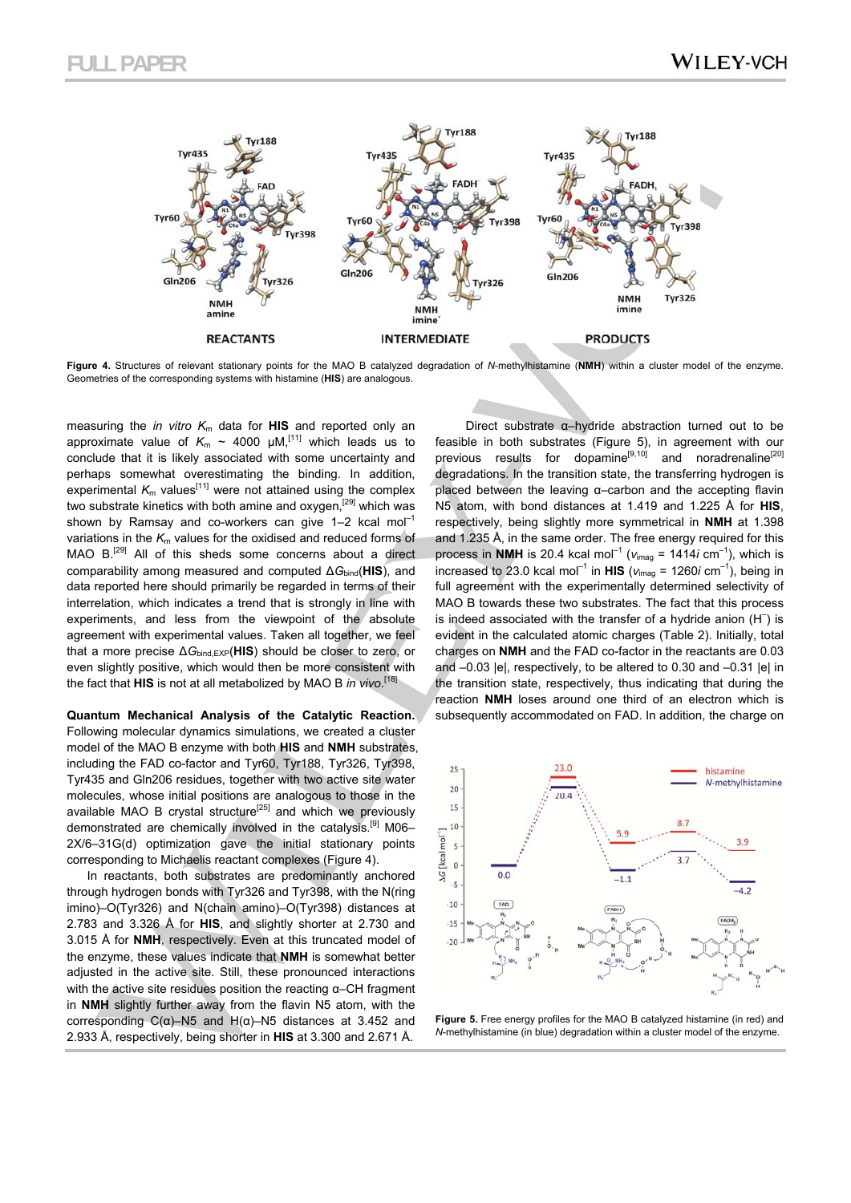

**Figure 4.** Structures of relevant stationary points for the MAO B catalyzed degradation of *N*-methylhistamine (**NMH**) within a cluster model of the enzyme. Geometries of the corresponding systems with histamine (**HIS**) are analogous.

measuring the *in vitro K*m data for **HIS** and reported only an approximate value of  $K_m \sim 4000 \mu M$ ,<sup>[11]</sup> which leads us to conclude that it is likely associated with some uncertainty and perhaps somewhat overestimating the binding. In addition, experimental  $K_m$  values<sup>[11]</sup> were not attained using the complex two substrate kinetics with both amine and oxygen,<sup>[29]</sup> which was shown by Ramsay and co-workers can give  $1-2$  kcal mol<sup>-1</sup> variations in the  $K_m$  values for the oxidised and reduced forms of MAO B.[29] All of this sheds some concerns about a direct comparability among measured and computed ∆*G*bind(**HIS**), and data reported here should primarily be regarded in terms of their interrelation, which indicates a trend that is strongly in line with experiments, and less from the viewpoint of the absolute agreement with experimental values. Taken all together, we feel that a more precise ∆*G*bind,EXP(**HIS**) should be closer to zero, or even slightly positive, which would then be more consistent with the fact that **HIS** is not at all metabolized by MAO B *in vivo*. [18]

**Quantum Mechanical Analysis of the Catalytic Reaction.**  Following molecular dynamics simulations, we created a cluster model of the MAO B enzyme with both **HIS** and **NMH** substrates, including the FAD co-factor and Tyr60, Tyr188, Tyr326, Tyr398, Tyr435 and Gln206 residues, together with two active site water molecules, whose initial positions are analogous to those in the available MAO B crystal structure<sup>[25]</sup> and which we previously demonstrated are chemically involved in the catalysis.<sup>[9]</sup> M06-2X/6–31G(d) optimization gave the initial stationary points corresponding to Michaelis reactant complexes (Figure 4).

In reactants, both substrates are predominantly anchored through hydrogen bonds with Tyr326 and Tyr398, with the N(ring imino)–O(Tyr326) and N(chain amino)–O(Tyr398) distances at 2.783 and 3.326 Å for **HIS**, and slightly shorter at 2.730 and 3.015 Å for **NMH**, respectively. Even at this truncated model of the enzyme, these values indicate that **NMH** is somewhat better adjusted in the active site. Still, these pronounced interactions with the active site residues position the reacting α–CH fragment in **NMH** slightly further away from the flavin N5 atom, with the corresponding C(α)–N5 and H(α)–N5 distances at 3.452 and 2.933 Å, respectively, being shorter in **HIS** at 3.300 and 2.671 Å.

 Direct substrate α–hydride abstraction turned out to be feasible in both substrates (Figure 5), in agreement with our previous results for dopamine<sup>[9,10]</sup> and noradrenaline<sup>[20]</sup> degradations. In the transition state, the transferring hydrogen is placed between the leaving α–carbon and the accepting flavin N5 atom, with bond distances at 1.419 and 1.225 Å for **HIS**, respectively, being slightly more symmetrical in **NMH** at 1.398 and 1.235 Å, in the same order. The free energy required for this process in **NMH** is 20.4 kcal mol<sup>-1</sup> ( $v_{\text{imag}}$  = 1414*i* cm<sup>-1</sup>), which is increased to 23.0 kcal mol<sup>-1</sup> in **HIS** ( $v_{\text{imag}}$  = 1260*i* cm<sup>-1</sup>), being in full agreement with the experimentally determined selectivity of MAO B towards these two substrates. The fact that this process is indeed associated with the transfer of a hydride anion  $(H^-)$  is evident in the calculated atomic charges (Table 2). Initially, total charges on **NMH** and the FAD co-factor in the reactants are 0.03 and –0.03 |e|, respectively, to be altered to 0.30 and –0.31 |e| in the transition state, respectively, thus indicating that during the reaction **NMH** loses around one third of an electron which is subsequently accommodated on FAD. In addition, the charge on



**Figure 5.** Free energy profiles for the MAO B catalyzed histamine (in red) and *N*-methylhistamine (in blue) degradation within a cluster model of the enzyme.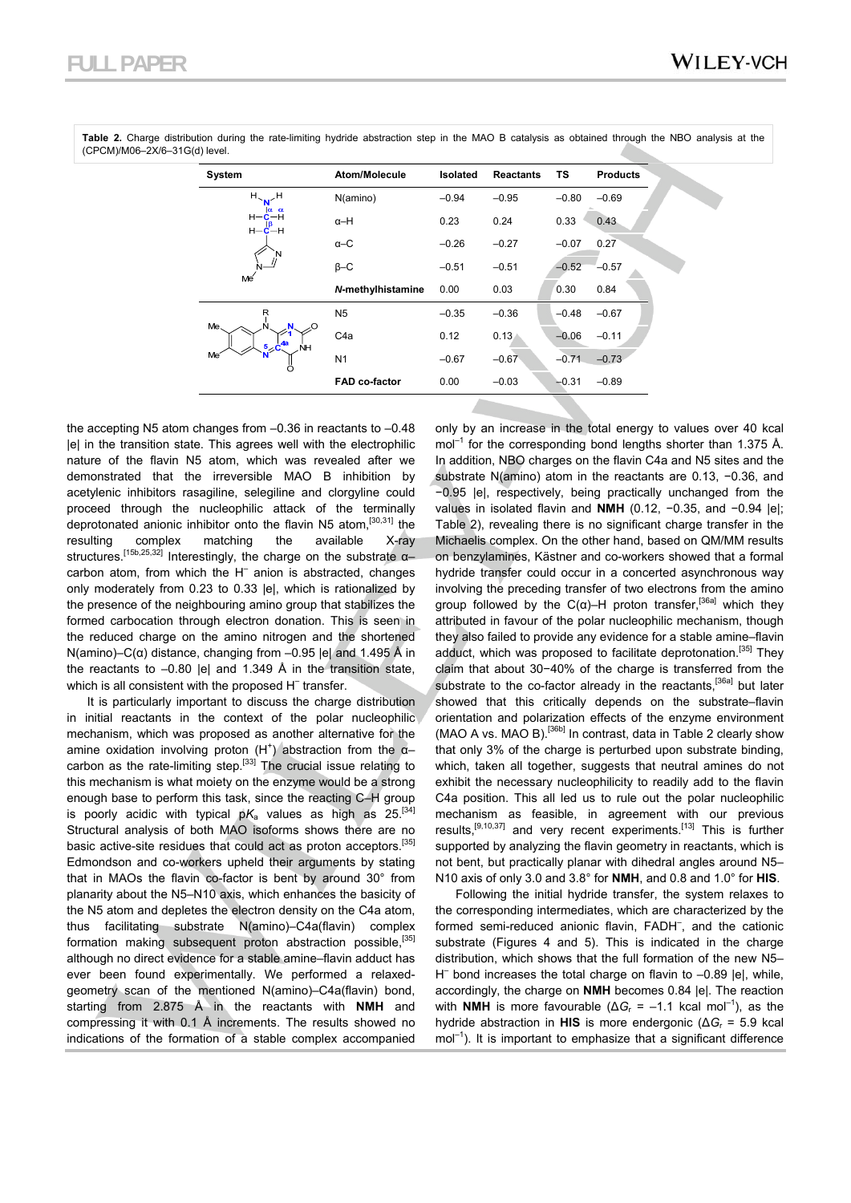| System                                        | Atom/Molecule        | <b>Isolated</b> | <b>Reactants</b> | <b>TS</b> | <b>Products</b> |
|-----------------------------------------------|----------------------|-----------------|------------------|-----------|-----------------|
| $H_{\sim_{\mathbf{N}}}\mathcal{H}$            | N(amino)             | $-0.94$         | $-0.95$          | $-0.80$   | $-0.69$         |
| Ια α<br>$H - C - H$<br>$H - C - H$<br>N<br>Me | $\alpha$ -H          | 0.23            | 0.24             | 0.33      | 0.43            |
|                                               | $\alpha$ -C          | $-0.26$         | $-0.27$          | $-0.07$   | 0.27            |
|                                               | $B - C$              | $-0.51$         | $-0.51$          | $-0.52$   | $-0.57$         |
|                                               | N-methylhistamine    | 0.00            | 0.03             | 0.30      | 0.84            |
| R                                             | N <sub>5</sub>       | $-0.35$         | $-0.36$          | $-0.48$   | $-0.67$         |
| Me.<br>$\Omega$<br>$5\degree C^{4a}$<br>NH    | C <sub>4</sub> a     | 0.12            | 0.13             | $-0.06$   | $-0.11$         |
| Me <sup>-</sup>                               | N <sub>1</sub>       | $-0.67$         | $-0.67$          | $-0.71$   | $-0.73$         |
|                                               | <b>FAD co-factor</b> | 0.00            | $-0.03$          | $-0.31$   | $-0.89$         |
|                                               |                      |                 |                  |           |                 |

**Table 2.** Charge distribution during the rate-limiting hydride abstraction step in the MAO B catalysis as obtained through the NBO analysis at the (CPCM)/M06–2X/6–31G(d) level.

the accepting N5 atom changes from –0.36 in reactants to –0.48 |e| in the transition state. This agrees well with the electrophilic nature of the flavin N5 atom, which was revealed after we demonstrated that the irreversible MAO B inhibition by acetylenic inhibitors rasagiline, selegiline and clorgyline could proceed through the nucleophilic attack of the terminally deprotonated anionic inhibitor onto the flavin N5 atom,[30,31] the resulting complex matching the available X-ray structures.[15b,25,32] Interestingly, the charge on the substrate α– carbon atom, from which the H<sup>-</sup> anion is abstracted, changes only moderately from 0.23 to 0.33 |e|, which is rationalized by the presence of the neighbouring amino group that stabilizes the formed carbocation through electron donation. This is seen in the reduced charge on the amino nitrogen and the shortened N(amino)–C(α) distance, changing from –0.95 |e| and 1.495 Å in the reactants to –0.80 |e| and 1.349 Å in the transition state, which is all consistent with the proposed H<sup>-</sup> transfer.

It is particularly important to discuss the charge distribution in initial reactants in the context of the polar nucleophilic mechanism, which was proposed as another alternative for the amine oxidation involving proton  $(H<sup>+</sup>)$  abstraction from the  $\alpha$ carbon as the rate-limiting step.<sup>[33]</sup> The crucial issue relating to this mechanism is what moiety on the enzyme would be a strong enough base to perform this task, since the reacting C–H group is poorly acidic with typical  $pK_a$  values as high as  $25^{[34]}$ Structural analysis of both MAO isoforms shows there are no basic active-site residues that could act as proton acceptors.<sup>[35]</sup> Edmondson and co-workers upheld their arguments by stating that in MAOs the flavin co-factor is bent by around 30° from planarity about the N5–N10 axis, which enhances the basicity of the N5 atom and depletes the electron density on the C4a atom, thus facilitating substrate N(amino)–C4a(flavin) complex formation making subsequent proton abstraction possible.<sup>[35]</sup> although no direct evidence for a stable amine–flavin adduct has ever been found experimentally. We performed a relaxedgeometry scan of the mentioned N(amino)–C4a(flavin) bond, starting from 2.875 Å in the reactants with **NMH** and compressing it with 0.1 Å increments. The results showed no indications of the formation of a stable complex accompanied

only by an increase in the total energy to values over 40 kcal  $mol<sup>-1</sup>$  for the corresponding bond lengths shorter than 1.375 Å. In addition, NBO charges on the flavin C4a and N5 sites and the substrate N(amino) atom in the reactants are 0.13, −0.36, and −0.95 |e|, respectively, being practically unchanged from the values in isolated flavin and **NMH** (0.12, −0.35, and −0.94 |e|; Table 2), revealing there is no significant charge transfer in the Michaelis complex. On the other hand, based on QM/MM results on benzylamines, Kästner and co-workers showed that a formal hydride transfer could occur in a concerted asynchronous way involving the preceding transfer of two electrons from the amino group followed by the C( $\alpha$ )–H proton transfer,<sup>[36a]</sup> which they attributed in favour of the polar nucleophilic mechanism, though they also failed to provide any evidence for a stable amine–flavin adduct, which was proposed to facilitate deprotonation.<sup>[35]</sup> They claim that about 30−40% of the charge is transferred from the substrate to the co-factor already in the reactants,<sup>[36a]</sup> but later showed that this critically depends on the substrate–flavin orientation and polarization effects of the enzyme environment (MAO A vs. MAO B).<sup>[36b]</sup> In contrast, data in Table 2 clearly show that only 3% of the charge is perturbed upon substrate binding, which, taken all together, suggests that neutral amines do not exhibit the necessary nucleophilicity to readily add to the flavin C4a position. This all led us to rule out the polar nucleophilic mechanism as feasible, in agreement with our previous results,<sup>[9,10,37]</sup> and very recent experiments.<sup>[13]</sup> This is further supported by analyzing the flavin geometry in reactants, which is not bent, but practically planar with dihedral angles around N5– N10 axis of only 3.0 and 3.8° for **NMH**, and 0.8 and 1.0° for **HIS**.

Following the initial hydride transfer, the system relaxes to the corresponding intermediates, which are characterized by the formed semi-reduced anionic flavin, FADH– , and the cationic substrate (Figures 4 and 5). This is indicated in the charge distribution, which shows that the full formation of the new N5– H– bond increases the total charge on flavin to –0.89 |e|, while, accordingly, the charge on **NMH** becomes 0.84 |e|. The reaction with **NMH** is more favourable ( $\Delta G_r = -1.1$  kcal mol<sup>-1</sup>), as the hydride abstraction in **HIS** is more endergonic (∆*G*r = 5.9 kcal  $mol<sup>-1</sup>$ ). It is important to emphasize that a significant difference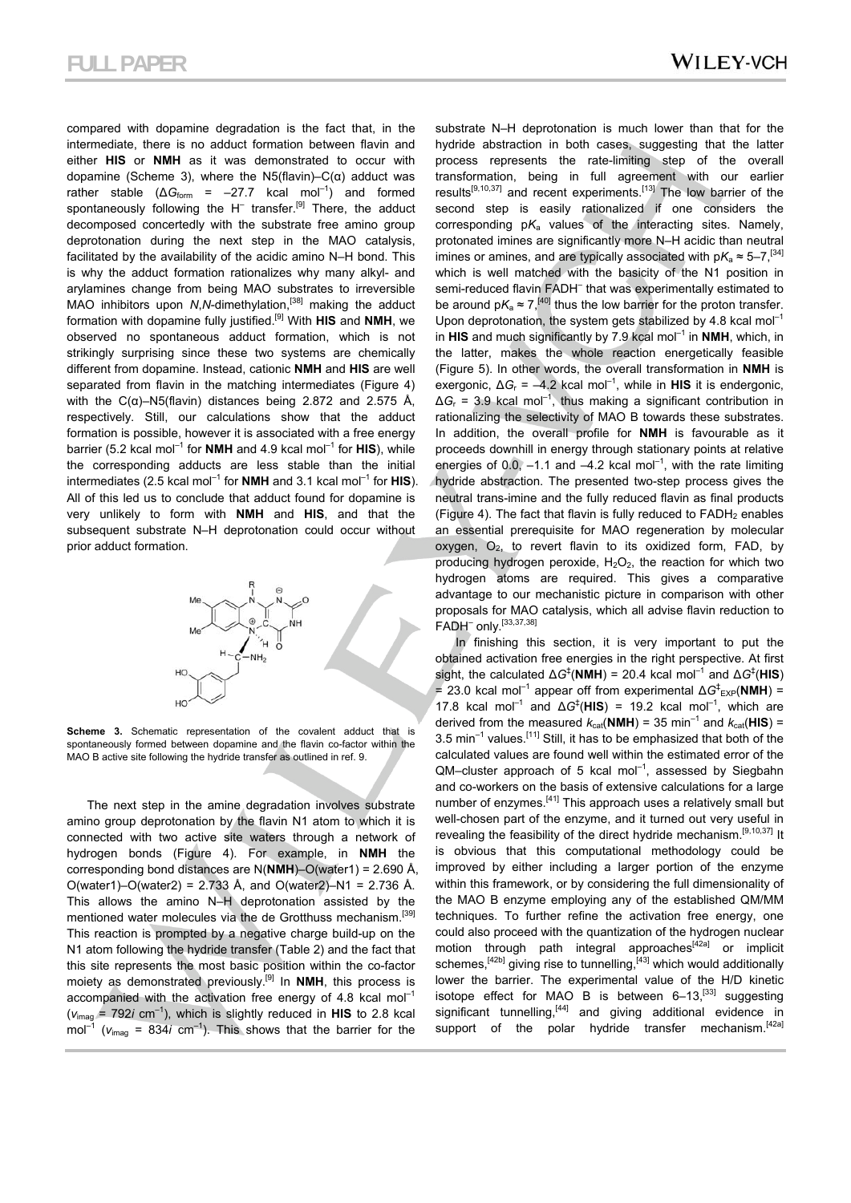compared with dopamine degradation is the fact that, in the intermediate, there is no adduct formation between flavin and either **HIS** or **NMH** as it was demonstrated to occur with dopamine (Scheme 3), where the N5(flavin)– $C(\alpha)$  adduct was rather stable ( $\Delta G_{\text{form}}$  = –27.7 kcal mol<sup>-1</sup>) and formed spontaneously following the H<sup>-</sup> transfer.<sup>[9]</sup> There, the adduct decomposed concertedly with the substrate free amino group deprotonation during the next step in the MAO catalysis, facilitated by the availability of the acidic amino N–H bond. This is why the adduct formation rationalizes why many alkyl- and arylamines change from being MAO substrates to irreversible MAO inhibitors upon *N*,*N*-dimethylation,<sup>[38]</sup> making the adduct formation with dopamine fully justified.[9] With **HIS** and **NMH**, we observed no spontaneous adduct formation, which is not strikingly surprising since these two systems are chemically different from dopamine. Instead, cationic **NMH** and **HIS** are well separated from flavin in the matching intermediates (Figure 4) with the  $C(\alpha)$ –N5(flavin) distances being 2.872 and 2.575 Å, respectively. Still, our calculations show that the adduct formation is possible, however it is associated with a free energy barrier (5.2 kcal mol<sup>-1</sup> for **NMH** and 4.9 kcal mol<sup>-1</sup> for **HIS**), while the corresponding adducts are less stable than the initial intermediates (2.5 kcal mol<sup>-1</sup> for **NMH** and 3.1 kcal mol<sup>-1</sup> for **HIS**). All of this led us to conclude that adduct found for dopamine is very unlikely to form with **NMH** and **HIS**, and that the subsequent substrate N–H deprotonation could occur without prior adduct formation.



**Scheme 3.** Schematic representation of the covalent adduct that is spontaneously formed between dopamine and the flavin co-factor within the MAO B active site following the hydride transfer as outlined in ref. 9.

The next step in the amine degradation involves substrate amino group deprotonation by the flavin N1 atom to which it is connected with two active site waters through a network of hydrogen bonds (Figure 4). For example, in **NMH** the corresponding bond distances are N(**NMH**)–O(water1) = 2.690 Å, O(water1)–O(water2) = 2.733 Å, and O(water2)–N1 = 2.736 Å. This allows the amino N–H deprotonation assisted by the mentioned water molecules via the de Grotthuss mechanism.<sup>[39]</sup> This reaction is prompted by a negative charge build-up on the N1 atom following the hydride transfer (Table 2) and the fact that this site represents the most basic position within the co-factor moiety as demonstrated previously.[9] In **NMH**, this process is accompanied with the activation free energy of 4.8 kcal mol<sup>-1</sup>  $(v_{\text{imag}} = 792i \text{ cm}^{-1})$ , which is slightly reduced in **HIS** to 2.8 kcal mol<sup>-1</sup> ( $v_{\text{ima}}$  = 834*i* cm<sup>-1</sup>). This shows that the barrier for the

substrate N–H deprotonation is much lower than that for the hydride abstraction in both cases, suggesting that the latter process represents the rate-limiting step of the overall transformation, being in full agreement with our earlier results[9,10,37] and recent experiments.[13] The low barrier of the second step is easily rationalized if one considers the corresponding  $pK_a$  values of the interacting sites. Namely, protonated imines are significantly more N–H acidic than neutral imines or amines, and are typically associated with  $pK_a \approx 5-7$ , [34] which is well matched with the basicity of the N1 position in semi-reduced flavin FADH<sup>-</sup> that was experimentally estimated to be around  $pK_a \approx 7$ ,<sup>[40]</sup> thus the low barrier for the proton transfer. Upon deprotonation, the system gets stabilized by 4.8 kcal mol<sup>-1</sup> in  $HIS$  and much significantly by 7.9 kcal mol<sup>-1</sup> in **NMH**, which, in the latter, makes the whole reaction energetically feasible (Figure 5). In other words, the overall transformation in **NMH** is exergonic,  $\Delta G_r$  = –4.2 kcal mol<sup>-1</sup>, while in **HIS** it is endergonic, ∆*G*r = 3.9 kcal mol–1, thus making a significant contribution in rationalizing the selectivity of MAO B towards these substrates. In addition, the overall profile for **NMH** is favourable as it proceeds downhill in energy through stationary points at relative energies of 0.0,  $-1.1$  and  $-4.2$  kcal mol<sup>-1</sup>, with the rate limiting hydride abstraction. The presented two-step process gives the neutral trans-imine and the fully reduced flavin as final products (Figure 4). The fact that flavin is fully reduced to  $FADH<sub>2</sub>$  enables an essential prerequisite for MAO regeneration by molecular oxygen,  $O_2$ , to revert flavin to its oxidized form, FAD, by producing hydrogen peroxide,  $H_2O_2$ , the reaction for which two hydrogen atoms are required. This gives a comparative advantage to our mechanistic picture in comparison with other proposals for MAO catalysis, which all advise flavin reduction to FADH– only.[33,37,38]

In finishing this section, it is very important to put the obtained activation free energies in the right perspective. At first sight, the calculated  $\Delta G^{\ddagger}$ (**NMH**) = 20.4 kcal mol<sup>-1</sup> and  $\Delta G^{\ddagger}$ (**HIS**)  $= 23.0$  kcal mol<sup>-1</sup> appear off from experimental  $\Delta G^{\ddagger}_{EXP}(\text{NMH}) =$ 17.8 kcal mol<sup>-1</sup> and  $\Delta G^{\ddagger}$ (HIS) = 19.2 kcal mol<sup>-1</sup>, which are derived from the measured  $k_{\text{cat}}(NMH) = 35 \text{ min}^{-1}$  and  $k_{\text{cat}}(HIS) =$ 3.5 min<sup>-1</sup> values.<sup>[11]</sup> Still, it has to be emphasized that both of the calculated values are found well within the estimated error of the  $QM$ –cluster approach of 5 kcal mol<sup>-1</sup>, assessed by Siegbahn and co-workers on the basis of extensive calculations for a large number of enzymes.[41] This approach uses a relatively small but well-chosen part of the enzyme, and it turned out very useful in revealing the feasibility of the direct hydride mechanism.<sup>[9,10,37]</sup> It is obvious that this computational methodology could be improved by either including a larger portion of the enzyme within this framework, or by considering the full dimensionality of the MAO B enzyme employing any of the established QM/MM techniques. To further refine the activation free energy, one could also proceed with the quantization of the hydrogen nuclear motion through path integral approaches<sup>[42a]</sup> or implicit schemes,  $[42b]$  giving rise to tunnelling,  $[43]$  which would additionally lower the barrier. The experimental value of the H/D kinetic isotope effect for MAO B is between  $6-13$ ,<sup>[33]</sup> suggesting significant tunnelling,<sup>[44]</sup> and giving additional evidence in support of the polar hydride transfer mechanism.<sup>[42a]</sup>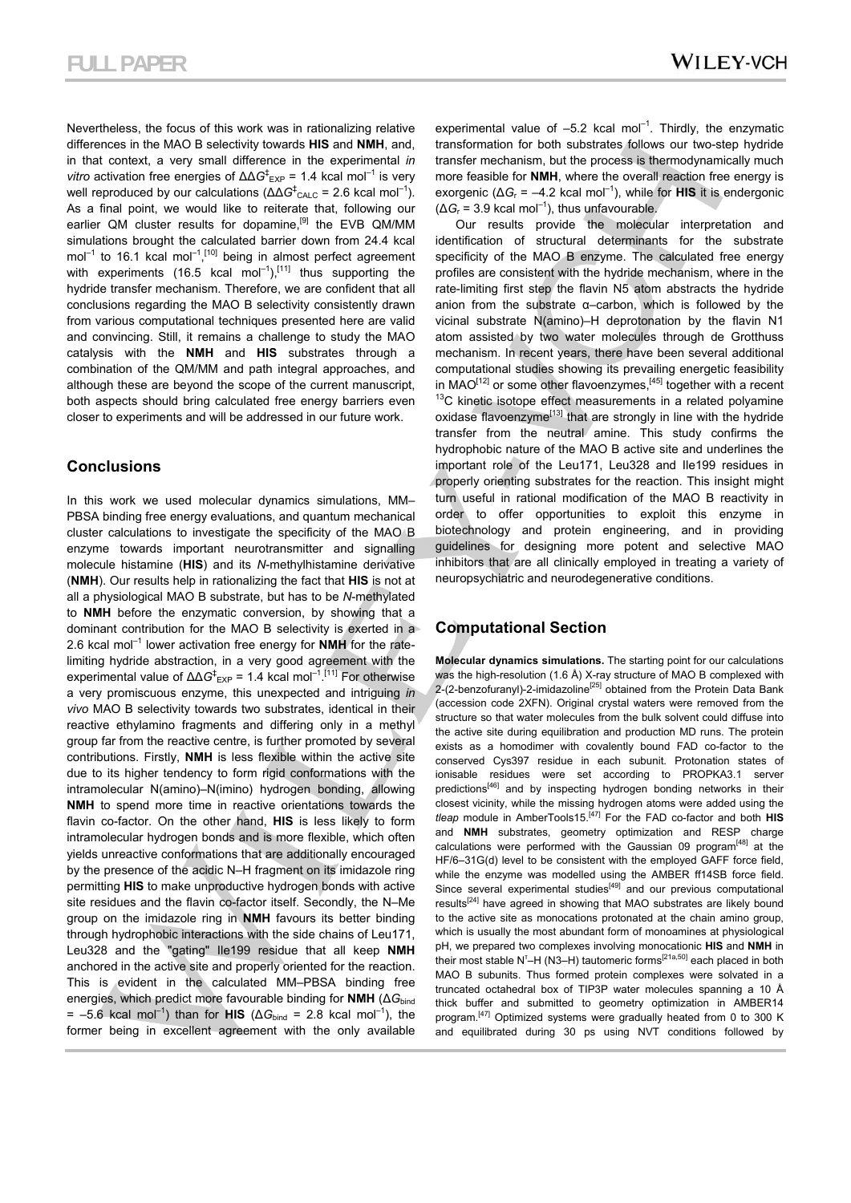Nevertheless, the focus of this work was in rationalizing relative differences in the MAO B selectivity towards **HIS** and **NMH**, and, in that context, a very small difference in the experimental *in vitro* activation free energies of  $\Delta \Delta G$ <sup>‡</sup><sub>EXP</sub> = 1.4 kcal mol<sup>-1</sup> is very well reproduced by our calculations (ΔΔG<sup>‡</sup><sub>CALC</sub> = 2.6 kcal mol<sup>-1</sup>). As a final point, we would like to reiterate that, following our earlier QM cluster results for dopamine,<sup>[9]</sup> the EVB QM/MM simulations brought the calculated barrier down from 24.4 kcal mol<sup>-1</sup> to 16.1 kcal mol<sup>-1</sup>,<sup>[10]</sup> being in almost perfect agreement with experiments (16.5 kcal  $mol^{-1}$ ),<sup>[11]</sup> thus supporting the hydride transfer mechanism. Therefore, we are confident that all conclusions regarding the MAO B selectivity consistently drawn from various computational techniques presented here are valid and convincing. Still, it remains a challenge to study the MAO catalysis with the **NMH** and **HIS** substrates through a combination of the QM/MM and path integral approaches, and although these are beyond the scope of the current manuscript, both aspects should bring calculated free energy barriers even closer to experiments and will be addressed in our future work.

### **Conclusions**

In this work we used molecular dynamics simulations, MM– PBSA binding free energy evaluations, and quantum mechanical cluster calculations to investigate the specificity of the MAO B enzyme towards important neurotransmitter and signalling molecule histamine (**HIS**) and its *N*-methylhistamine derivative (**NMH**). Our results help in rationalizing the fact that **HIS** is not at all a physiological MAO B substrate, but has to be *N*-methylated to **NMH** before the enzymatic conversion, by showing that a dominant contribution for the MAO B selectivity is exerted in a 2.6 kcal mol–1 lower activation free energy for **NMH** for the ratelimiting hydride abstraction, in a very good agreement with the experimental value of  $\Delta\Delta G_{\rm EXP}^{\dagger} = 1.4$  kcal mol<sup>-1</sup>.<sup>[11]</sup> For otherwise a very promiscuous enzyme, this unexpected and intriguing *in vivo* MAO B selectivity towards two substrates, identical in their reactive ethylamino fragments and differing only in a methyl group far from the reactive centre, is further promoted by several contributions. Firstly, **NMH** is less flexible within the active site due to its higher tendency to form rigid conformations with the intramolecular N(amino)–N(imino) hydrogen bonding, allowing **NMH** to spend more time in reactive orientations towards the flavin co-factor. On the other hand, **HIS** is less likely to form intramolecular hydrogen bonds and is more flexible, which often yields unreactive conformations that are additionally encouraged by the presence of the acidic N–H fragment on its imidazole ring permitting **HIS** to make unproductive hydrogen bonds with active site residues and the flavin co-factor itself. Secondly, the N–Me group on the imidazole ring in **NMH** favours its better binding through hydrophobic interactions with the side chains of Leu171, Leu328 and the "gating" Ile199 residue that all keep **NMH** anchored in the active site and properly oriented for the reaction. This is evident in the calculated MM–PBSA binding free energies, which predict more favourable binding for **NMH** (∆*G*bind  $= -5.6$  kcal mol<sup>-1</sup>) than for **HIS** ( $\Delta G_{bind} = 2.8$  kcal mol<sup>-1</sup>), the former being in excellent agreement with the only available

experimental value of  $-5.2$  kcal mol<sup>-1</sup>. Thirdly, the enzymatic transformation for both substrates follows our two-step hydride transfer mechanism, but the process is thermodynamically much more feasible for **NMH**, where the overall reaction free energy is exorgenic ( $\Delta G_r$  = –4.2 kcal mol<sup>-1</sup>), while for **HIS** it is endergonic  $(\Delta G_r = 3.9 \text{ kcal mol}^{-1})$ , thus unfavourable.

Our results provide the molecular interpretation and identification of structural determinants for the substrate specificity of the MAO B enzyme. The calculated free energy profiles are consistent with the hydride mechanism, where in the rate-limiting first step the flavin N5 atom abstracts the hydride anion from the substrate α–carbon, which is followed by the vicinal substrate N(amino)–H deprotonation by the flavin N1 atom assisted by two water molecules through de Grotthuss mechanism. In recent years, there have been several additional computational studies showing its prevailing energetic feasibility in MAO<sup>[12]</sup> or some other flavoenzymes,<sup>[45]</sup> together with a recent  $13$ C kinetic isotope effect measurements in a related polyamine oxidase flavoenzyme<sup>[13]</sup> that are strongly in line with the hydride transfer from the neutral amine. This study confirms the hydrophobic nature of the MAO B active site and underlines the important role of the Leu171, Leu328 and Ile199 residues in properly orienting substrates for the reaction. This insight might turn useful in rational modification of the MAO B reactivity in order to offer opportunities to exploit this enzyme in biotechnology and protein engineering, and in providing guidelines for designing more potent and selective MAO inhibitors that are all clinically employed in treating a variety of neuropsychiatric and neurodegenerative conditions.

### **Computational Section**

**Molecular dynamics simulations.** The starting point for our calculations was the high-resolution (1.6 Å) X-ray structure of MAO B complexed with  $2-(2-benzofuranyl)-2-imidazoline<sup>[25]</sup> obtained from the Protein Data Bank$ (accession code 2XFN). Original crystal waters were removed from the structure so that water molecules from the bulk solvent could diffuse into the active site during equilibration and production MD runs. The protein exists as a homodimer with covalently bound FAD co-factor to the conserved Cys397 residue in each subunit. Protonation states of ionisable residues were set according to PROPKA3.1 server predictions<sup>[46]</sup> and by inspecting hydrogen bonding networks in their closest vicinity, while the missing hydrogen atoms were added using the *tleap* module in AmberTools15.[47] For the FAD co-factor and both **HIS** and **NMH** substrates, geometry optimization and RESP charge calculations were performed with the Gaussian 09 program<sup>[48]</sup> at the HF/6–31G(d) level to be consistent with the employed GAFF force field, while the enzyme was modelled using the AMBER ff14SB force field. Since several experimental studies<sup> $[49]$ </sup> and our previous computational results[24] have agreed in showing that MAO substrates are likely bound to the active site as monocations protonated at the chain amino group, which is usually the most abundant form of monoamines at physiological pH, we prepared two complexes involving monocationic **HIS** and **NMH** in their most stable N<sup>T</sup>-H (N3-H) tautomeric forms<sup>[21a,50]</sup> each placed in both MAO B subunits. Thus formed protein complexes were solvated in a truncated octahedral box of TIP3P water molecules spanning a 10 Å thick buffer and submitted to geometry optimization in AMBER14 program.<sup>[47]</sup> Optimized systems were gradually heated from 0 to 300 K and equilibrated during 30 ps using NVT conditions followed by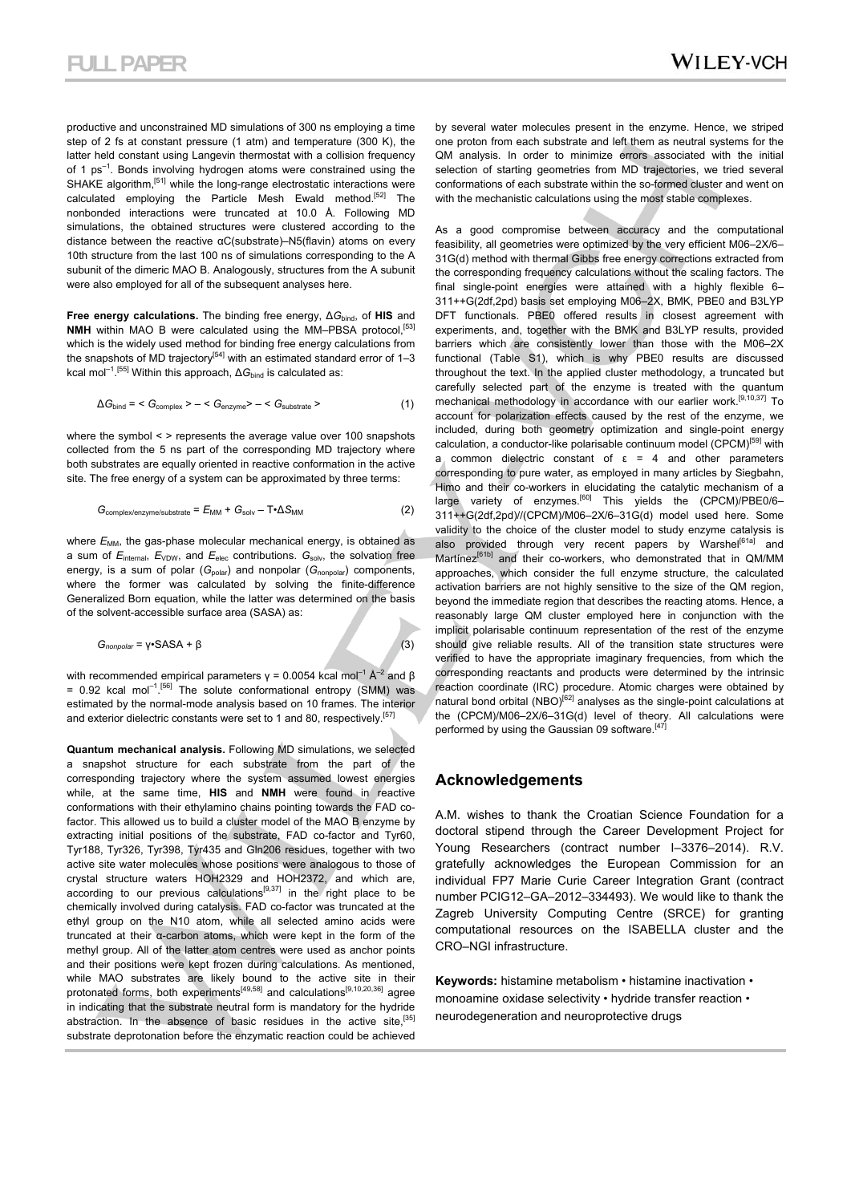productive and unconstrained MD simulations of 300 ns employing a time step of 2 fs at constant pressure (1 atm) and temperature (300 K), the latter held constant using Langevin thermostat with a collision frequency of 1 ps<sup>-1</sup>. Bonds involving hydrogen atoms were constrained using the SHAKE algorithm,<sup>[51]</sup> while the long-range electrostatic interactions were calculated employing the Particle Mesh Ewald method.<sup>[52]</sup> The nonbonded interactions were truncated at 10.0 Å. Following MD simulations, the obtained structures were clustered according to the distance between the reactive αC(substrate)–N5(flavin) atoms on every 10th structure from the last 100 ns of simulations corresponding to the A subunit of the dimeric MAO B. Analogously, structures from the A subunit were also employed for all of the subsequent analyses here.

**Free energy calculations.** The binding free energy, ∆*G*bind, of **HIS** and **NMH** within MAO B were calculated using the MM-PBSA protocol,<sup>[53]</sup> which is the widely used method for binding free energy calculations from the snapshots of MD trajectory<sup>[54]</sup> with an estimated standard error of  $1-3$ kcal mol<sup>-1</sup>.<sup>[55]</sup> Within this approach, ∆*G*<sub>bind</sub> is calculated as:

$$
\Delta G_{\text{bind}} = \langle G_{\text{complex}} \rangle - \langle G_{\text{enzyme}} \rangle - \langle G_{\text{substrate}} \rangle \tag{1}
$$

where the symbol < > represents the average value over 100 snapshots collected from the 5 ns part of the corresponding MD trajectory where both substrates are equally oriented in reactive conformation in the active site. The free energy of a system can be approximated by three terms:

$$
G_{\text{complex/enzyme/substrate}} = E_{\text{MM}} + G_{\text{solv}} - T \cdot \Delta S_{\text{MM}} \tag{2}
$$

where  $E_{MM}$ , the gas-phase molecular mechanical energy, is obtained as a sum of *E*<sub>internal</sub>, *E*<sub>VDW</sub>, and *E*<sub>elec</sub> contributions. *G*<sub>solv</sub>, the solvation free energy, is a sum of polar (*G<sub>polar</sub>*) and nonpolar (*G<sub>nonpolar</sub>*) components, where the former was calculated by solving the finite-difference Generalized Born equation, while the latter was determined on the basis of the solvent-accessible surface area (SASA) as:

$$
G_{nonpolar} = \gamma \cdot \text{SASA} + \beta \tag{3}
$$

with recommended empirical parameters  $\gamma = 0.0054$  kcal mol<sup>-1</sup> Å<sup>-2</sup> and β  $= 0.92$  kcal mol<sup>-1</sup>.<sup>[56]</sup> The solute conformational entropy (SMM) was estimated by the normal-mode analysis based on 10 frames. The interior and exterior dielectric constants were set to 1 and 80, respectively.<sup>[57]</sup>

**Quantum mechanical analysis.** Following MD simulations, we selected a snapshot structure for each substrate from the part of the corresponding trajectory where the system assumed lowest energies while, at the same time, **HIS** and **NMH** were found in reactive conformations with their ethylamino chains pointing towards the FAD cofactor. This allowed us to build a cluster model of the MAO B enzyme by extracting initial positions of the substrate, FAD co-factor and Tyr60, Tyr188, Tyr326, Tyr398, Tyr435 and Gln206 residues, together with two active site water molecules whose positions were analogous to those of crystal structure waters HOH2329 and HOH2372, and which are,  $\alpha$ cording to our previous calculations<sup>[9,37]</sup> in the right place to be chemically involved during catalysis. FAD co-factor was truncated at the ethyl group on the N10 atom, while all selected amino acids were truncated at their α-carbon atoms, which were kept in the form of the methyl group. All of the latter atom centres were used as anchor points and their positions were kept frozen during calculations. As mentioned, while MAO substrates are likely bound to the active site in their protonated forms, both experiments<sup>[49,58]</sup> and calculations<sup>[9,10,20,36]</sup> agree in indicating that the substrate neutral form is mandatory for the hydride abstraction. In the absence of basic residues in the active site,<sup>[35]</sup> substrate deprotonation before the enzymatic reaction could be achieved by several water molecules present in the enzyme. Hence, we striped one proton from each substrate and left them as neutral systems for the QM analysis. In order to minimize errors associated with the initial selection of starting geometries from MD trajectories, we tried several conformations of each substrate within the so-formed cluster and went on with the mechanistic calculations using the most stable complexes.

As a good compromise between accuracy and the computational feasibility, all geometries were optimized by the very efficient M06–2X/6– 31G(d) method with thermal Gibbs free energy corrections extracted from the corresponding frequency calculations without the scaling factors. The final single-point energies were attained with a highly flexible 6– 311++G(2df,2pd) basis set employing M06–2X, BMK, PBE0 and B3LYP DFT functionals. PBE0 offered results in closest agreement with experiments, and, together with the BMK and B3LYP results, provided barriers which are consistently lower than those with the M06–2X functional (Table S1), which is why PBE0 results are discussed throughout the text. In the applied cluster methodology, a truncated but carefully selected part of the enzyme is treated with the quantum mechanical methodology in accordance with our earlier work.<sup>[9,10,37]</sup> To account for polarization effects caused by the rest of the enzyme, we included, during both geometry optimization and single-point energy calculation, a conductor-like polarisable continuum model (CPCM)<sup>[59]</sup> with a common dielectric constant of  $ε = 4$  and other parameters corresponding to pure water, as employed in many articles by Siegbahn, Himo and their co-workers in elucidating the catalytic mechanism of a large variety of enzymes.<sup>[60]</sup> This yields the (CPCM)/PBE0/6-311++G(2df,2pd)//(CPCM)/M06–2X/6–31G(d) model used here. Some validity to the choice of the cluster model to study enzyme catalysis is also provided through very recent papers by Warshel<sup>[61a]</sup> and Martínez<sup>[61b]</sup> and their co-workers, who demonstrated that in QM/MM approaches, which consider the full enzyme structure, the calculated activation barriers are not highly sensitive to the size of the QM region, beyond the immediate region that describes the reacting atoms. Hence, a reasonably large QM cluster employed here in conjunction with the implicit polarisable continuum representation of the rest of the enzyme should give reliable results. All of the transition state structures were verified to have the appropriate imaginary frequencies, from which the corresponding reactants and products were determined by the intrinsic reaction coordinate (IRC) procedure. Atomic charges were obtained by natural bond orbital  $(NBO)^{[62]}$  analyses as the single-point calculations at the (CPCM)/M06–2X/6–31G(d) level of theory. All calculations were performed by using the Gaussian 09 software.<sup>[47]</sup>

#### **Acknowledgements**

A.M. wishes to thank the Croatian Science Foundation for a doctoral stipend through the Career Development Project for Young Researchers (contract number I–3376–2014). R.V. gratefully acknowledges the European Commission for an individual FP7 Marie Curie Career Integration Grant (contract number PCIG12–GA–2012–334493). We would like to thank the Zagreb University Computing Centre (SRCE) for granting computational resources on the ISABELLA cluster and the CRO–NGI infrastructure.

**Keywords:** histamine metabolism • histamine inactivation • monoamine oxidase selectivity • hydride transfer reaction • neurodegeneration and neuroprotective drugs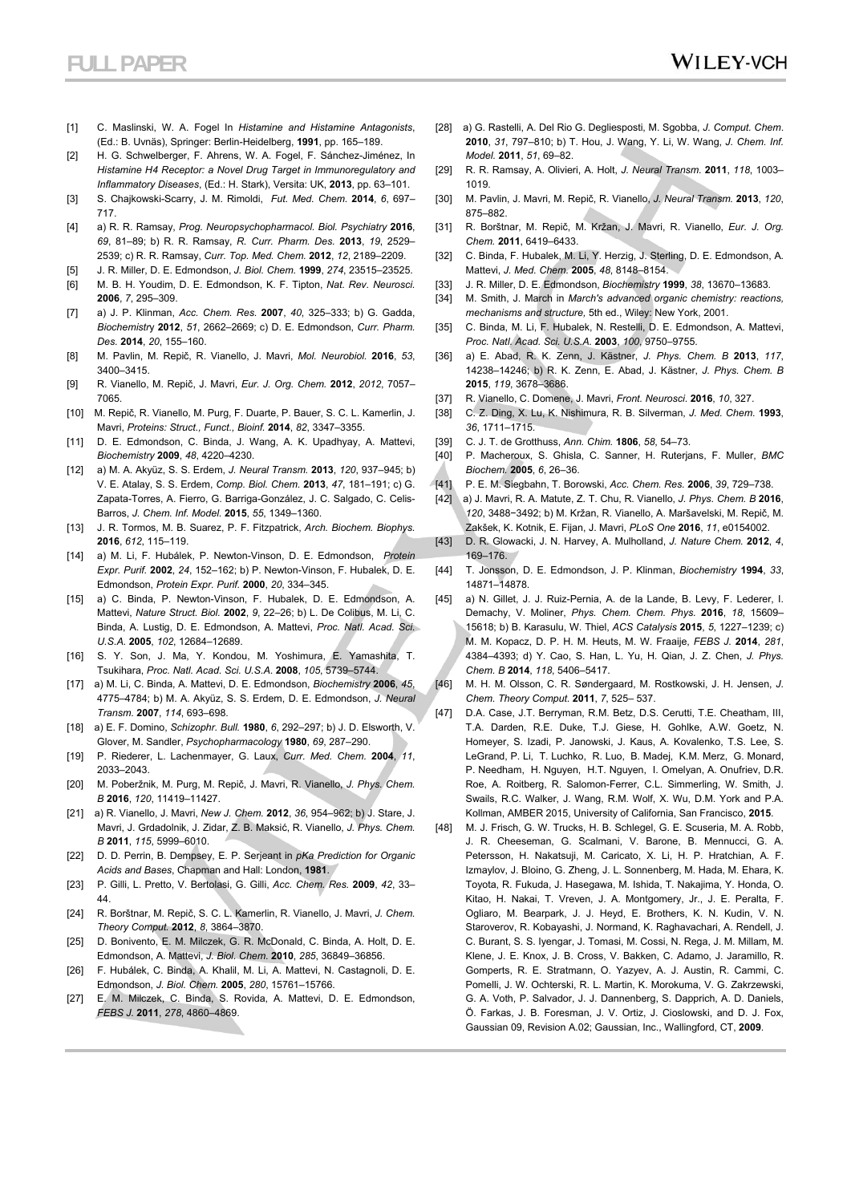- [1] C. Maslinski, W. A. Fogel In *Histamine and Histamine Antagonists*, (Ed.: B. Uvnäs), Springer: Berlin-Heidelberg, **1991**, pp. 165–189.
- [2] H. G. Schwelberger, F. Ahrens, W. A. Fogel, F. Sánchez-Jiménez, In *Histamine H4 Receptor: a Novel Drug Target in Immunoregulatory and Inflammatory Diseases*, (Ed.: H. Stark), Versita: UK, **2013**, pp. 63–101.
- [3] S. Chajkowski-Scarry, J. M. Rimoldi, *Fut. Med. Chem.* **2014**, *6*, 697– 717.
- [4] a) R. R. Ramsay, *Prog. Neuropsychopharmacol. Biol. Psychiatry* **2016**, *69*, 81–89; b) R. R. Ramsay, *R. Curr. Pharm. Des.* **2013**, *19*, 2529– 2539; c) R. R. Ramsay, *Curr. Top. Med. Chem.* **2012**, *12*, 2189–2209.
- [5] J. R. Miller, D. E. Edmondson, *J. Biol. Chem.* **1999**, *274*, 23515–23525.
- [6] M. B. H. Youdim, D. E. Edmondson, K. F. Tipton, *Nat. Rev. Neurosci.* **2006**, *7*, 295–309.
- [7] a) J. P. Klinman, *Acc. Chem. Res.* **2007**, *40*, 325–333; b) G. Gadda, *Biochemistr*y **2012**, *51*, 2662–2669; c) D. E. Edmondson, *Curr. Pharm. Des.* **2014**, *20*, 155–160.
- [8] M. Pavlin, M. Repič, R. Vianello, J. Mavri, *Mol. Neurobiol.* **2016**, *53*, 3400–3415.
- [9] R. Vianello, M. Repič, J. Mavri, *Eur. J. Org. Chem.* **2012**, *2012*, 7057– 7065.
- [10] M. Repič, R. Vianello, M. Purg, F. Duarte, P. Bauer, S. C. L. Kamerlin, J. Mavri, *Proteins: Struct., Funct., Bioinf.* **2014**, *82*, 3347–3355.
- [11] D. E. Edmondson, C. Binda, J. Wang, A. K. Upadhyay, A. Mattevi, *Biochemistry* **2009**, *48*, 4220–4230.
- [12] a) M. A. Akyüz, S. S. Erdem, *J. Neural Transm.* **2013**, *120*, 937–945; b) V. E. Atalay, S. S. Erdem, *Comp. Biol. Chem.* **2013**, *47*, 181–191; c) G. Zapata-Torres, A. Fierro, G. Barriga-González, J. C. Salgado, C. Celis-Barros, *J. Chem. Inf. Model.* **2015**, *55*, 1349–1360.
- [13] J. R. Tormos, M. B. Suarez, P. F. Fitzpatrick, *Arch. Biochem. Biophys.* **2016**, *612*, 115–119.
- [14] a) M. Li, F. Hubálek, P. Newton-Vinson, D. E. Edmondson, *Protein Expr. Purif.* **2002**, *24*, 152–162; b) P. Newton-Vinson, F. Hubalek, D. E. Edmondson, *Protein Expr. Purif.* **2000**, *20*, 334–345.
- [15] a) C. Binda, P. Newton-Vinson, F. Hubalek, D. E. Edmondson, A. Mattevi, *Nature Struct. Biol.* **2002**, *9*, 22–26; b) L. De Colibus, M. Li, C. Binda, A. Lustig, D. E. Edmondson, A. Mattevi, *Proc. Natl. Acad. Sci. U.S.A.* **2005**, *102*, 12684–12689.
- [16] S. Y. Son, J. Ma, Y. Kondou, M. Yoshimura, E. Yamashita, T. Tsukihara, *Proc. Natl. Acad. Sci. U.S.A*. **2008**, *105*, 5739–5744.
- [17] a) M. Li, C. Binda, A. Mattevi, D. E. Edmondson, *Biochemistry* **2006**, *45*, 4775–4784; b) M. A. Akyüz, S. S. Erdem, D. E. Edmondson, *J. Neural Transm.* **2007**, *114*, 693–698.
- [18] a) E. F. Domino, *Schizophr. Bull.* **1980**, *6*, 292–297; b) J. D. Elsworth, V. Glover, M. Sandler, *Psychopharmacology* **1980**, *69*, 287–290.
- [19] P. Riederer, L. Lachenmayer, G. Laux, *Curr. Med. Chem.* **2004**, *11*, 2033–2043.
- [20] M. Poberžnik, M. Purg, M. Repič, J. Mavri, R. Vianello, *J. Phys. Chem. B* **2016**, *120*, 11419–11427.
- [21] a) R. Vianello, J. Mavri, *New J. Chem.* **2012**, *36*, 954–962; b) J. Stare, J. Mavri, J. Grdadolnik, J. Zidar, Z. B. Maksić, R. Vianello, *J. Phys. Chem. B* **2011**, *115*, 5999–6010.
- [22] D. D. Perrin, B. Dempsey, E. P. Serjeant in *pKa Prediction for Organic Acids and Bases*, Chapman and Hall: London, **1981**.
- [23] P. Gilli, L. Pretto, V. Bertolasi, G. Gilli, *Acc. Chem. Res.* **2009**, *42*, 33– 44.
- [24] R. Borštnar, M. Repič, S. C. L. Kamerlin, R. Vianello, J. Mavri, *J. Chem. Theory Comput.* **2012**, *8*, 3864–3870.
- [25] D. Bonivento, E. M. Milczek, G. R. McDonald, C. Binda, A. Holt, D. E. Edmondson, A. Mattevi, *J. Biol. Chem.* **2010**, *285*, 36849–36856.
- [26] F. Hubálek, C. Binda, A. Khalil, M. Li, A. Mattevi, N. Castagnoli, D. E. Edmondson, *J. Biol. Chem.* **2005**, *280*, 15761–15766.
- [27] E. M. Milczek, C. Binda, S. Rovida, A. Mattevi, D. E. Edmondson, *FEBS J.* **2011**, *278*, 4860–4869.
- [28] a) G. Rastelli, A. Del Rio G. Degliesposti, M. Sgobba, *J. Comput. Chem*. **2010**, *31*, 797–810; b) T. Hou, J. Wang, Y. Li, W. Wang, *J. Chem. Inf. Model.* **2011**, *51*, 69–82.
- [29] R. R. Ramsay, A. Olivieri, A. Holt, *J. Neural Transm.* **2011**, *118*, 1003– 1019.
- [30] M. Pavlin, J. Mavri, M. Repič, R. Vianello, *J. Neural Transm.* **2013**, *120*, 875–882.
- [31] R. Borštnar, M. Repič, M. Kržan, J. Mavri, R. Vianello, *Eur. J. Org. Chem.* **2011**, 6419–6433.
- [32] C. Binda, F. Hubalek, M. Li, Y. Herzig, J. Sterling, D. E. Edmondson, A. Mattevi, *J. Med. Chem.* **2005**, *48*, 8148–8154.
- [33] J. R. Miller, D. E. Edmondson, *Biochemistry* **1999**, *38*, 13670–13683.
- [34] M. Smith, J. March in *March's advanced organic chemistry: reactions, mechanisms and structure,* 5th ed., Wiley: New York, 2001.
- [35] C. Binda, M. Li, F. Hubalek, N. Restelli, D. E. Edmondson, A. Mattevi, *Proc. Natl. Acad. Sci. U.S.A.* **2003**, *100*, 9750–9755.
- [36] a) E. Abad, R. K. Zenn, J. Kästner, *J. Phys. Chem. B* **2013**, *117*, 14238–14246; b) R. K. Zenn, E. Abad, J. Kästner, *J. Phys. Chem. B* **2015**, *119*, 3678–3686.
- [37] R. Vianello, C. Domene, J. Mavri, *Front. Neurosci*. **2016**, *10*, 327.
- [38] C. Z. Ding, X. Lu, K. Nishimura, R. B. Silverman, *J. Med. Chem.* **1993**, *36*, 1711–1715.
- [39] C. J. T. de Grotthuss, *Ann. Chim.* **1806**, *58*, 54–73.
- [40] P. Macheroux, S. Ghisla, C. Sanner, H. Ruterjans, F. Muller, *BMC Biochem.* **2005**, *6*, 26–36.
- [41] P. E. M. Siegbahn, T. Borowski, *Acc. Chem. Res.* **2006**, *39*, 729–738.
- [42] a) J. Mavri, R. A. Matute, Z. T. Chu, R. Vianello, *J. Phys. Chem. B* **2016**, *120*, 3488−3492; b) M. Kržan, R. Vianello, A. Maršavelski, M. Repič, M. Zakšek, K. Kotnik, E. Fijan, J. Mavri, *PLoS One* **2016**, *11*, e0154002.
- [43] D. R. Glowacki, J. N. Harvey, A. Mulholland, *J. Nature Chem.* **2012**, *4*, 169–176.
- [44] T. Jonsson, D. E. Edmondson, J. P. Klinman, *Biochemistry* **1994**, *33*, 14871–14878.
- [45] a) N. Gillet, J. J. Ruiz-Pernia, A. de la Lande, B. Levy, F. Lederer, I. Demachy, V. Moliner, *Phys. Chem. Chem. Phys.* **2016**, *18*, 15609– 15618; b) B. Karasulu, W. Thiel, *ACS Catalysis* **2015**, *5*, 1227–1239; c) M. M. Kopacz, D. P. H. M. Heuts, M. W. Fraaije, *FEBS J.* **2014**, *281*, 4384–4393; d) Y. Cao, S. Han, L. Yu, H. Qian, J. Z. Chen, *J. Phys. Chem. B* **2014**, *118*, 5406–5417.
- [46] M. H. M. Olsson, C. R. Søndergaard, M. Rostkowski, J. H. Jensen, *J. Chem. Theory Comput*. **2011**, *7*, 525– 537.
- [47] D.A. Case, J.T. Berryman, R.M. Betz, D.S. Cerutti, T.E. Cheatham, III, T.A. Darden, R.E. Duke, T.J. Giese, H. Gohlke, A.W. Goetz, N. Homeyer, S. Izadi, P. Janowski, J. Kaus, A. Kovalenko, T.S. Lee, S. LeGrand, P. Li, T. Luchko, R. Luo, B. Madej, K.M. Merz, G. Monard, P. Needham, H. Nguyen, H.T. Nguyen, I. Omelyan, A. Onufriev, D.R. Roe, A. Roitberg, R. Salomon-Ferrer, C.L. Simmerling, W. Smith, J. Swails, R.C. Walker, J. Wang, R.M. Wolf, X. Wu, D.M. York and P.A. Kollman, AMBER 2015, University of California, San Francisco, **2015**.
- [48] M. J. Frisch, G. W. Trucks, H. B. Schlegel, G. E. Scuseria, M. A. Robb, J. R. Cheeseman, G. Scalmani, V. Barone, B. Mennucci, G. A. Petersson, H. Nakatsuji, M. Caricato, X. Li, H. P. Hratchian, A. F. Izmaylov, J. Bloino, G. Zheng, J. L. Sonnenberg, M. Hada, M. Ehara, K. Toyota, R. Fukuda, J. Hasegawa, M. Ishida, T. Nakajima, Y. Honda, O. Kitao, H. Nakai, T. Vreven, J. A. Montgomery, Jr., J. E. Peralta, F. Ogliaro, M. Bearpark, J. J. Heyd, E. Brothers, K. N. Kudin, V. N. Staroverov, R. Kobayashi, J. Normand, K. Raghavachari, A. Rendell, J. C. Burant, S. S. Iyengar, J. Tomasi, M. Cossi, N. Rega, J. M. Millam, M. Klene, J. E. Knox, J. B. Cross, V. Bakken, C. Adamo, J. Jaramillo, R. Gomperts, R. E. Stratmann, O. Yazyev, A. J. Austin, R. Cammi, C. Pomelli, J. W. Ochterski, R. L. Martin, K. Morokuma, V. G. Zakrzewski, G. A. Voth, P. Salvador, J. J. Dannenberg, S. Dapprich, A. D. Daniels, Ö. Farkas, J. B. Foresman, J. V. Ortiz, J. Cioslowski, and D. J. Fox, Gaussian 09, Revision A.02; Gaussian, Inc., Wallingford, CT, **2009**.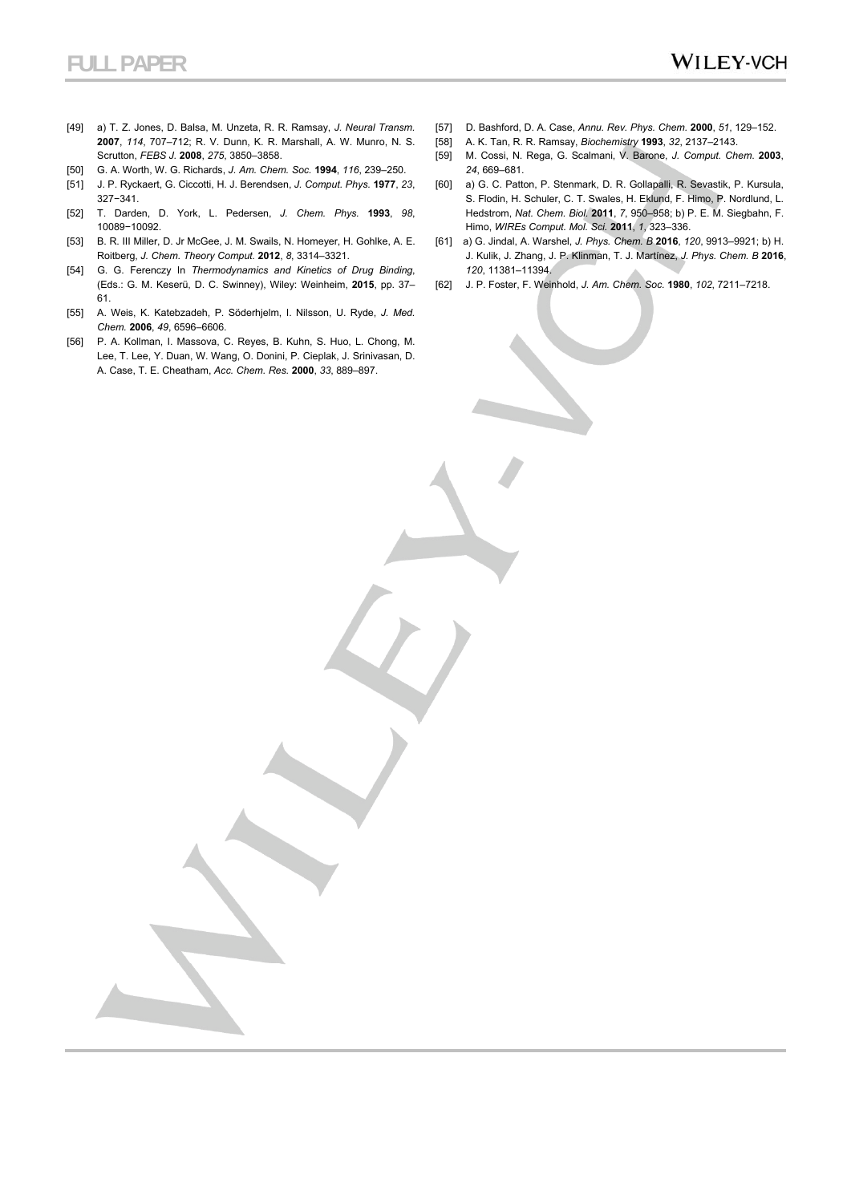- [49] a) T. Z. Jones, D. Balsa, M. Unzeta, R. R. Ramsay, *J. Neural Transm.* **2007**, *114*, 707–712; R. V. Dunn, K. R. Marshall, A. W. Munro, N. S. Scrutton, *FEBS J.* **2008**, *275*, 3850–3858.
- [50] G. A. Worth, W. G. Richards, *J. Am. Chem. Soc.* **1994**, *116*, 239–250.
- [51] J. P. Ryckaert, G. Ciccotti, H. J. Berendsen, *J. Comput. Phys.* **1977**, *23*, 327−341.
- [52] T. Darden, D. York, L. Pedersen, *J. Chem. Phys.* **1993**, *98*, 10089−10092.
- [53] B. R. III Miller, D. Jr McGee, J. M. Swails, N. Homeyer, H. Gohlke, A. E. Roitberg, *J. Chem. Theory Comput.* **2012**, *8*, 3314–3321.
- [54] G. G. Ferenczy In *Thermodynamics and Kinetics of Drug Binding*, (Eds.: G. M. Keserü, D. C. Swinney), Wiley: Weinheim, **2015**, pp. 37– 61.
- [55] A. Weis, K. Katebzadeh, P. Söderhjelm, I. Nilsson, U. Ryde, *J. Med. Chem.* **2006**, *49*, 6596–6606.
- [56] P. A. Kollman, I. Massova, C. Reyes, B. Kuhn, S. Huo, L. Chong, M. Lee, T. Lee, Y. Duan, W. Wang, O. Donini, P. Cieplak, J. Srinivasan, D. A. Case, T. E. Cheatham, *Acc. Chem. Res.* **2000**, *33*, 889–897.
- [57] D. Bashford, D. A. Case, *Annu. Rev. Phys. Chem.* **2000**, *51*, 129–152.
- [58] A. K. Tan, R. R. Ramsay, *Biochemistry* **1993**, *32*, 2137–2143.
- [59] M. Cossi, N. Rega, G. Scalmani, V. Barone, *J. Comput. Chem*. **2003**, *24*, 669–681.
- [60] a) G. C. Patton, P. Stenmark, D. R. Gollapalli, R. Sevastik, P. Kursula, S. Flodin, H. Schuler, C. T. Swales, H. Eklund, F. Himo, P. Nordlund, L. Hedstrom, *Nat. Chem. Biol.* **2011**, *7*, 950–958; b) P. E. M. Siegbahn, F. Himo, *WIREs Comput. Mol. Sci.* **2011**, *1*, 323–336.
- [61] a) G. Jindal, A. Warshel, *J. Phys. Chem. B* **2016**, *120*, 9913–9921; b) H. J. Kulik, J. Zhang, J. P. Klinman, T. J. Martínez, *J. Phys. Chem. B* **2016**, *120*, 11381–11394.
- [62] J. P. Foster, F. Weinhold, *J. Am. Chem. Soc.* **1980**, *102*, 7211–7218.